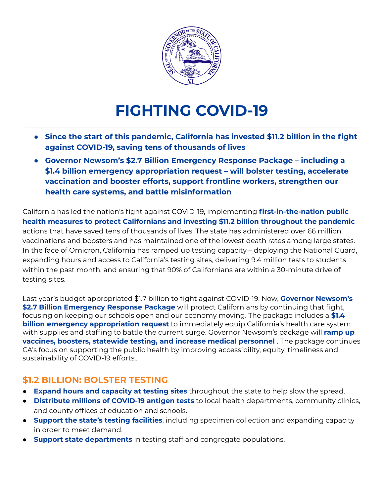

# **FIGHTING COVID-19**

- **● Since the start of this pandemic, California has invested \$11.2 billion in the fight against COVID-19, saving tens of thousands of lives**
- **● Governor Newsom's \$2.7 Billion Emergency Response Package including a \$1.4 billion emergency appropriation request – will bolster testing, accelerate vaccination and booster efforts, support frontline workers, strengthen our health care systems, and battle misinformation**

California has led the nation's fight against COVID-19, implementing **first-in-the-nation public health measures to protect Californians and investing \$11.2 billion throughout the pandemic** – actions that have saved tens of thousands of lives. The state has administered over 66 million vaccinations and boosters and has maintained one of the lowest death rates among large states. In the face of Omicron, California has ramped up testing capacity – deploying the National Guard, expanding hours and access to California's testing sites, delivering 9.4 million tests to students within the past month, and ensuring that 90% of Californians are within a 30-minute drive of testing sites.

Last year's budget appropriated \$1.7 billion to fight against COVID-19. Now, **Governor Newsom's \$2.7 Billion Emergency Response Package** will protect Californians by continuing that fight, focusing on keeping our schools open and our economy moving. The package includes a **\$1.4 billion emergency appropriation request** to immediately equip California's health care system with supplies and staffing to battle the current surge. Governor Newsom's package will **ramp up vaccines, boosters, statewide testing, and increase medical personnel** . The package continues CA's focus on supporting the public health by improving accessibility, equity, timeliness and sustainability of COVID-19 efforts..

#### **\$1.2 BILLION: BOLSTER TESTING**

- **Expand hours and capacity at testing sites** throughout the state to help slow the spread.
- **Distribute millions of COVID-19 antigen tests** to local health departments, community clinics, and county offices of education and schools.
- **Support the state's testing facilities**, including specimen collection and expanding capacity in order to meet demand.
- **Support state departments** in testing staff and congregate populations.